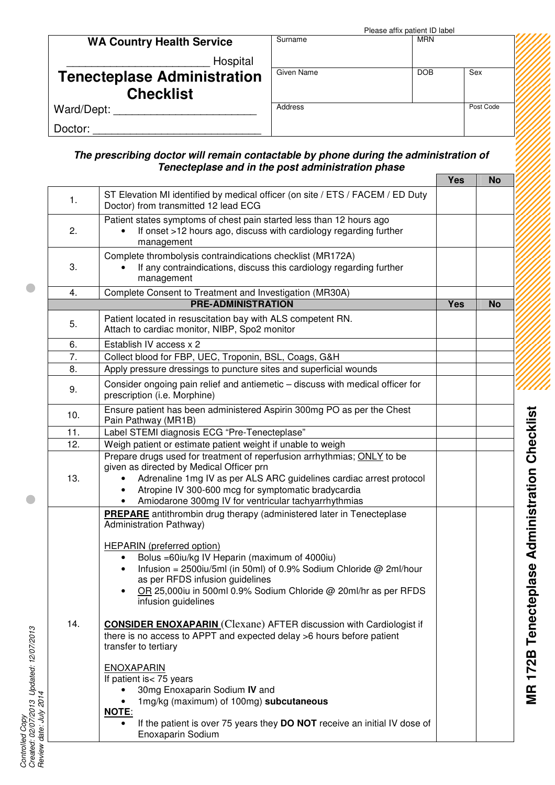|                                    | Please affix patient ID label |            |           |  |
|------------------------------------|-------------------------------|------------|-----------|--|
| <b>WA Country Health Service</b>   | Surname                       | <b>MRN</b> |           |  |
| Hospital                           |                               |            |           |  |
| <b>Tenecteplase Administration</b> | Given Name                    | <b>DOB</b> | Sex       |  |
| <b>Checklist</b>                   |                               |            |           |  |
| Ward/Dept:                         | Address                       |            | Post Code |  |
| Doctor:                            |                               |            |           |  |

## *The prescribing doctor will remain contactable by phone during the administration of Tenecteplase and in the post administration phase*

|     |                                                                                                                                                                                                                                                                                        | <b>Yes</b> | <b>No</b> |
|-----|----------------------------------------------------------------------------------------------------------------------------------------------------------------------------------------------------------------------------------------------------------------------------------------|------------|-----------|
| 1.  | ST Elevation MI identified by medical officer (on site / ETS / FACEM / ED Duty<br>Doctor) from transmitted 12 lead ECG                                                                                                                                                                 |            |           |
| 2.  | Patient states symptoms of chest pain started less than 12 hours ago<br>If onset >12 hours ago, discuss with cardiology regarding further<br>$\bullet$<br>management                                                                                                                   |            |           |
| 3.  | Complete thrombolysis contraindications checklist (MR172A)<br>If any contraindications, discuss this cardiology regarding further<br>management                                                                                                                                        |            |           |
| 4.  | Complete Consent to Treatment and Investigation (MR30A)                                                                                                                                                                                                                                |            |           |
|     | <b>PRE-ADMINISTRATION</b>                                                                                                                                                                                                                                                              | <b>Yes</b> | <b>No</b> |
| 5.  | Patient located in resuscitation bay with ALS competent RN.<br>Attach to cardiac monitor, NIBP, Spo2 monitor                                                                                                                                                                           |            |           |
| 6.  | Establish IV access x 2                                                                                                                                                                                                                                                                |            |           |
| 7.  | Collect blood for FBP, UEC, Troponin, BSL, Coags, G&H                                                                                                                                                                                                                                  |            |           |
| 8.  | Apply pressure dressings to puncture sites and superficial wounds                                                                                                                                                                                                                      |            |           |
| 9.  | Consider ongoing pain relief and antiemetic - discuss with medical officer for<br>prescription (i.e. Morphine)                                                                                                                                                                         |            |           |
| 10. | Ensure patient has been administered Aspirin 300mg PO as per the Chest<br>Pain Pathway (MR1B)                                                                                                                                                                                          |            |           |
| 11. | Label STEMI diagnosis ECG "Pre-Tenecteplase"                                                                                                                                                                                                                                           |            |           |
| 12. | Weigh patient or estimate patient weight if unable to weigh<br>Prepare drugs used for treatment of reperfusion arrhythmias; ONLY to be                                                                                                                                                 |            |           |
| 13. | given as directed by Medical Officer prn<br>Adrenaline 1mg IV as per ALS ARC guidelines cardiac arrest protocol<br>Atropine IV 300-600 mcg for symptomatic bradycardia<br>Amiodarone 300mg IV for ventricular tachyarrhythmias                                                         |            |           |
| 14. | <b>PREPARE</b> antithrombin drug therapy (administered later in Tenecteplase<br>Administration Pathway)                                                                                                                                                                                |            |           |
|     | <b>HEPARIN</b> (preferred option)<br>Bolus = 60iu/kg IV Heparin (maximum of 4000iu)<br>Infusion = 2500iu/5ml (in 50ml) of 0.9% Sodium Chloride @ 2ml/hour<br>as per RFDS infusion guidelines<br>OR 25,000iu in 500ml 0.9% Sodium Chloride @ 20ml/hr as per RFDS<br>infusion guidelines |            |           |
|     | <b>CONSIDER ENOXAPARIN</b> (Clexane) AFTER discussion with Cardiologist if<br>there is no access to APPT and expected delay >6 hours before patient<br>transfer to tertiary                                                                                                            |            |           |
|     | <b>ENOXAPARIN</b><br>If patient is< 75 years<br>30mg Enoxaparin Sodium IV and<br>1mg/kg (maximum) of 100mg) subcutaneous<br><b>NOTE:</b><br>If the patient is over 75 years they DO NOT receive an initial IV dose of<br>Enoxaparin Sodium                                             |            |           |

*Controlled*

*Copy Created: 02/07/2013 Up*

*dated: 12/07/2013*

 $\blacksquare$ 

 $\blacksquare$